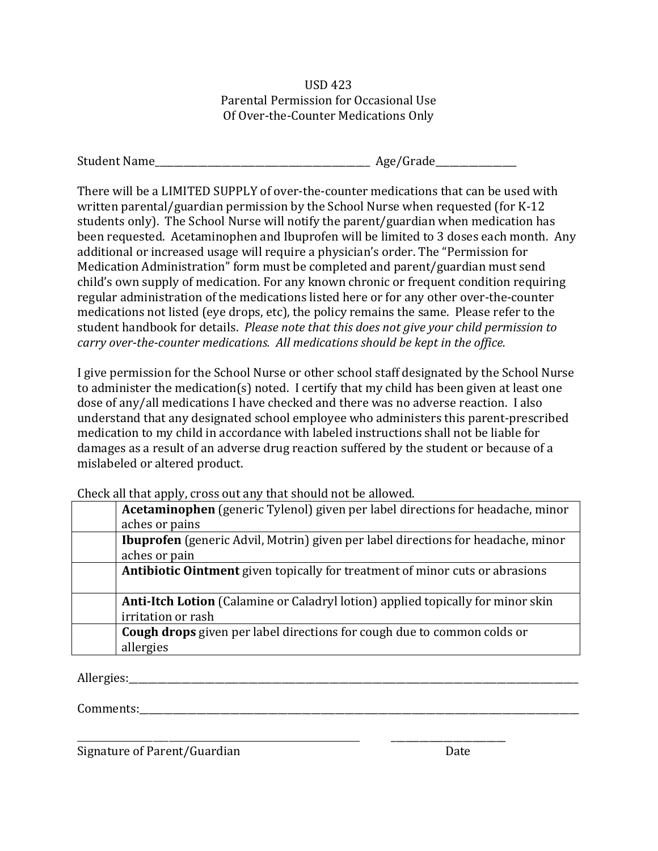USD 423 Parental Permission for Occasional Use Of Over-the-Counter Medications Only

| <b>Student Name</b> | Age/Grade |
|---------------------|-----------|
|                     |           |

There will be a LIMITED SUPPLY of over-the-counter medications that can be used with written parental/guardian permission by the School Nurse when requested (for K-12 students only). The School Nurse will notify the parent/guardian when medication has been requested. Acetaminophen and Ibuprofen will be limited to 3 doses each month. Any additional or increased usage will require a physician's order. The "Permission for Medication Administration" form must be completed and parent/guardian must send child's own supply of medication. For any known chronic or frequent condition requiring regular administration of the medications listed here or for any other over-the-counter medications not listed (eye drops, etc), the policy remains the same. Please refer to the student handbook for details. *Please note that this does not give your child permission to carry over-the-counter medications. All medications should be kept in the office.*

I give permission for the School Nurse or other school staff designated by the School Nurse to administer the medication(s) noted. I certify that my child has been given at least one dose of any/all medications I have checked and there was no adverse reaction. I also understand that any designated school employee who administers this parent-prescribed medication to my child in accordance with labeled instructions shall not be liable for damages as a result of an adverse drug reaction suffered by the student or because of a mislabeled or altered product.

Check all that apply, cross out any that should not be allowed.

| <b>Acetaminophen</b> (generic Tylenol) given per label directions for headache, minor   |  |  |  |
|-----------------------------------------------------------------------------------------|--|--|--|
| aches or pains                                                                          |  |  |  |
| <b>Ibuprofen</b> (generic Advil, Motrin) given per label directions for headache, minor |  |  |  |
| aches or pain                                                                           |  |  |  |
| <b>Antibiotic Ointment</b> given topically for treatment of minor cuts or abrasions     |  |  |  |
|                                                                                         |  |  |  |
| <b>Anti-Itch Lotion</b> (Calamine or Caladryl lotion) applied topically for minor skin  |  |  |  |
| irritation or rash                                                                      |  |  |  |
| <b>Cough drops</b> given per label directions for cough due to common colds or          |  |  |  |
| allergies                                                                               |  |  |  |

\_\_\_\_\_\_\_\_\_\_\_\_\_\_\_\_\_\_\_\_\_\_\_\_\_\_\_\_\_\_\_\_\_\_\_\_\_\_\_\_\_\_\_\_\_\_\_\_\_\_\_\_\_\_\_\_\_\_\_\_\_\_\_\_\_\_\_\_\_\_\_ \_\_\_\_\_\_\_\_\_\_\_\_\_\_\_\_\_\_\_\_\_\_\_\_

Allergies:

Comments:

Signature of Parent/Guardian Date